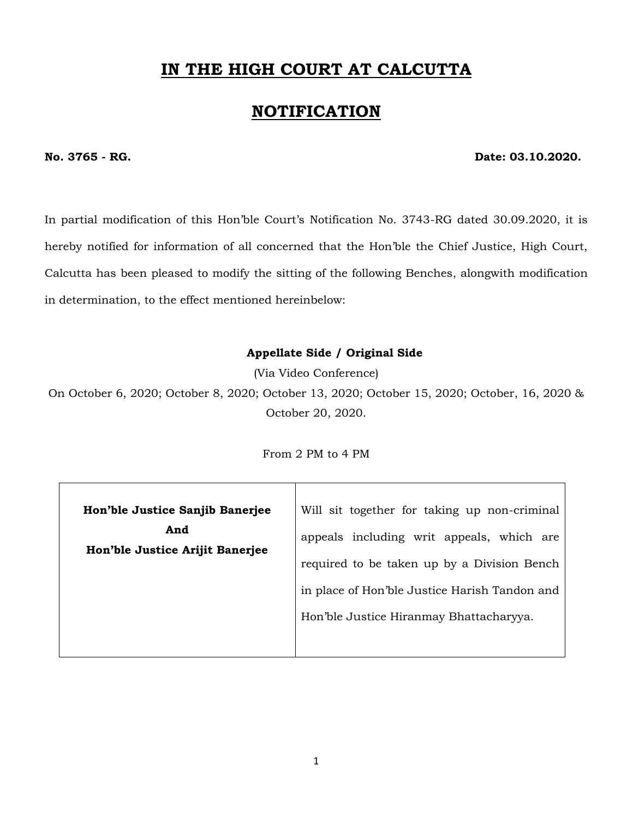# **IN THE HIGH COURT AT CALCUTTA**

## **NOTIFICATION**

#### **No. 3765 - RG. Date: 03.10.2020.**

In partial modification of this Hon'ble Court's Notification No. 3743-RG dated 30.09.2020, it is hereby notified for information of all concerned that the Hon'ble the Chief Justice, High Court, Calcutta has been pleased to modify the sitting of the following Benches, alongwith modification in determination, to the effect mentioned hereinbelow:

#### **Appellate Side / Original Side**

(Via Video Conference)

On October 6, 2020; October 8, 2020; October 13, 2020; October 15, 2020; October, 16, 2020 & October 20, 2020.

From 2 PM to 4 PM

| Hon'ble Justice Sanjib Banerjee        | Will sit together for taking up non-criminal  |
|----------------------------------------|-----------------------------------------------|
| And<br>Hon'ble Justice Arijit Banerjee | appeals including writ appeals, which are     |
|                                        | required to be taken up by a Division Bench   |
|                                        | in place of Hon'ble Justice Harish Tandon and |
|                                        | Hon'ble Justice Hiranmay Bhattacharyya.       |
|                                        |                                               |